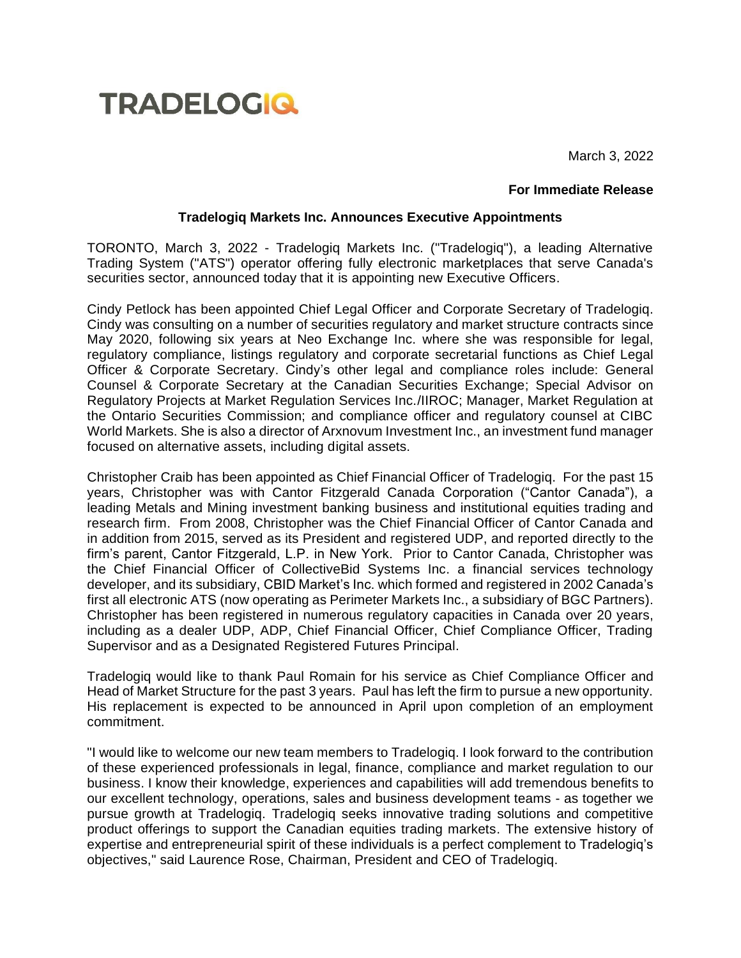

March 3, 2022

## **For Immediate Release**

## **Tradelogiq Markets Inc. Announces Executive Appointments**

TORONTO, March 3, 2022 - Tradelogiq Markets Inc. ("Tradelogiq"), a leading Alternative Trading System ("ATS") operator offering fully electronic marketplaces that serve Canada's securities sector, announced today that it is appointing new Executive Officers.

Cindy Petlock has been appointed Chief Legal Officer and Corporate Secretary of Tradelogiq. Cindy was consulting on a number of securities regulatory and market structure contracts since May 2020, following six years at Neo Exchange Inc. where she was responsible for legal, regulatory compliance, listings regulatory and corporate secretarial functions as Chief Legal Officer & Corporate Secretary. Cindy's other legal and compliance roles include: General Counsel & Corporate Secretary at the Canadian Securities Exchange; Special Advisor on Regulatory Projects at Market Regulation Services Inc./IIROC; Manager, Market Regulation at the Ontario Securities Commission; and compliance officer and regulatory counsel at CIBC World Markets. She is also a director of Arxnovum Investment Inc., an investment fund manager focused on alternative assets, including digital assets.

Christopher Craib has been appointed as Chief Financial Officer of Tradelogiq. For the past 15 years, Christopher was with Cantor Fitzgerald Canada Corporation ("Cantor Canada"), a leading Metals and Mining investment banking business and institutional equities trading and research firm. From 2008, Christopher was the Chief Financial Officer of Cantor Canada and in addition from 2015, served as its President and registered UDP, and reported directly to the firm's parent, Cantor Fitzgerald, L.P. in New York. Prior to Cantor Canada, Christopher was the Chief Financial Officer of CollectiveBid Systems Inc. a financial services technology developer, and its subsidiary, CBID Market's Inc. which formed and registered in 2002 Canada's first all electronic ATS (now operating as Perimeter Markets Inc., a subsidiary of BGC Partners). Christopher has been registered in numerous regulatory capacities in Canada over 20 years, including as a dealer UDP, ADP, Chief Financial Officer, Chief Compliance Officer, Trading Supervisor and as a Designated Registered Futures Principal.

Tradelogiq would like to thank Paul Romain for his service as Chief Compliance Officer and Head of Market Structure for the past 3 years. Paul has left the firm to pursue a new opportunity. His replacement is expected to be announced in April upon completion of an employment commitment.

"I would like to welcome our new team members to Tradelogiq. I look forward to the contribution of these experienced professionals in legal, finance, compliance and market regulation to our business. I know their knowledge, experiences and capabilities will add tremendous benefits to our excellent technology, operations, sales and business development teams - as together we pursue growth at Tradelogiq. Tradelogiq seeks innovative trading solutions and competitive product offerings to support the Canadian equities trading markets. The extensive history of expertise and entrepreneurial spirit of these individuals is a perfect complement to Tradelogiq's objectives," said Laurence Rose, Chairman, President and CEO of Tradelogiq.